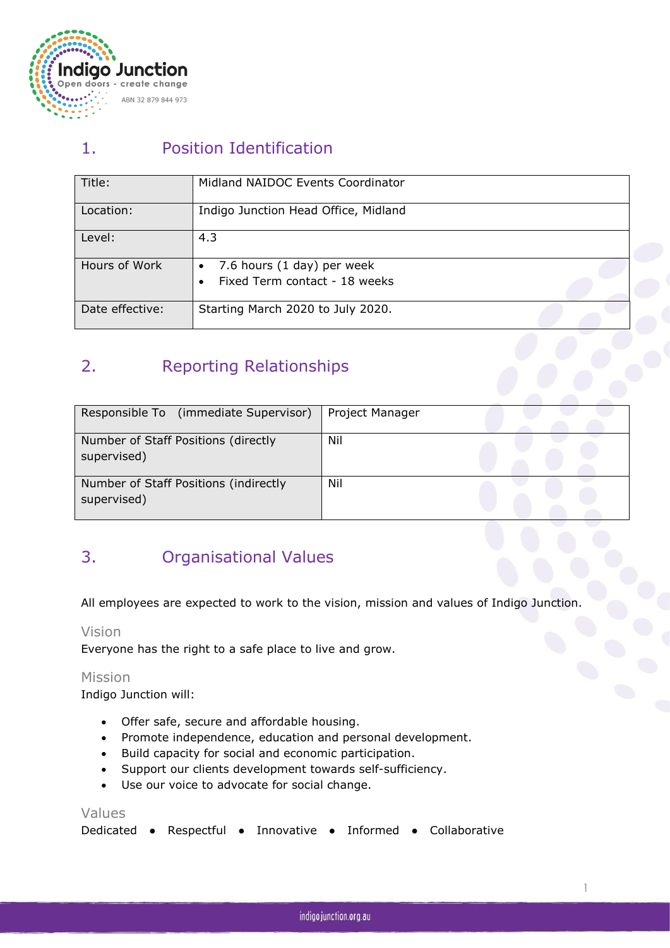

# 1. Position Identification

| Title:          | Midland NAIDOC Events Coordinator    |
|-----------------|--------------------------------------|
| Location:       | Indigo Junction Head Office, Midland |
| Level:          | 4.3                                  |
| Hours of Work   | 7.6 hours (1 day) per week           |
|                 | Fixed Term contact - 18 weeks        |
| Date effective: | Starting March 2020 to July 2020.    |

# 2. Reporting Relationships

| Responsible To (immediate Supervisor)                | Project Manager |  |  |
|------------------------------------------------------|-----------------|--|--|
| Number of Staff Positions (directly<br>supervised)   | Nil             |  |  |
| Number of Staff Positions (indirectly<br>supervised) | Nil             |  |  |

# 3. Organisational Values

All employees are expected to work to the vision, mission and values of Indigo Junction.

#### Vision

Everyone has the right to a safe place to live and grow.

#### Mission

Indigo Junction will:

- Offer safe, secure and affordable housing.
- Promote independence, education and personal development.
- Build capacity for social and economic participation.
- Support our clients development towards self-sufficiency.
- Use our voice to advocate for social change.

#### Values

| Dedicated • Respectful • Innovative • Informed • Collaborative |  |  |  |  |
|----------------------------------------------------------------|--|--|--|--|
|----------------------------------------------------------------|--|--|--|--|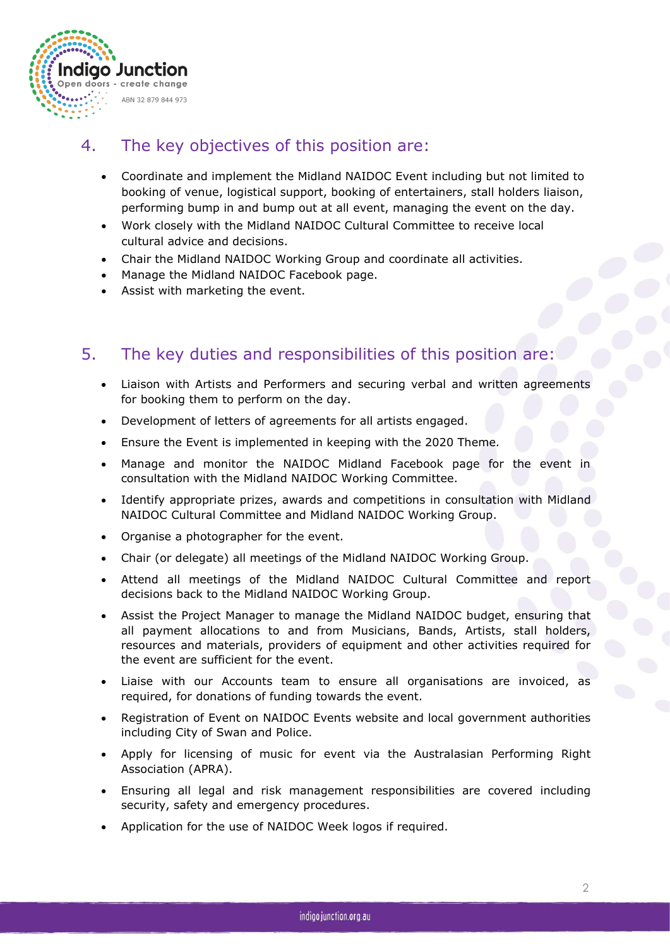

### 4. The key objectives of this position are:

- Coordinate and implement the Midland NAIDOC Event including but not limited to booking of venue, logistical support, booking of entertainers, stall holders liaison, performing bump in and bump out at all event, managing the event on the day.
- Work closely with the Midland NAIDOC Cultural Committee to receive local cultural advice and decisions.
- Chair the Midland NAIDOC Working Group and coordinate all activities.
- Manage the Midland NAIDOC Facebook page.
- Assist with marketing the event.

### 5. The key duties and responsibilities of this position are:

- Liaison with Artists and Performers and securing verbal and written agreements for booking them to perform on the day.
- Development of letters of agreements for all artists engaged.
- Ensure the Event is implemented in keeping with the 2020 Theme*.*
- Manage and monitor the NAIDOC Midland Facebook page for the event in consultation with the Midland NAIDOC Working Committee.
- Identify appropriate prizes, awards and competitions in consultation with Midland NAIDOC Cultural Committee and Midland NAIDOC Working Group.
- Organise a photographer for the event.
- Chair (or delegate) all meetings of the Midland NAIDOC Working Group.
- Attend all meetings of the Midland NAIDOC Cultural Committee and report decisions back to the Midland NAIDOC Working Group.
- Assist the Project Manager to manage the Midland NAIDOC budget, ensuring that all payment allocations to and from Musicians, Bands, Artists, stall holders, resources and materials, providers of equipment and other activities required for the event are sufficient for the event.
- Liaise with our Accounts team to ensure all organisations are invoiced, as required, for donations of funding towards the event.
- Registration of Event on NAIDOC Events website and local government authorities including City of Swan and Police.
- Apply for licensing of music for event via the Australasian Performing Right Association (APRA).
- Ensuring all legal and risk management responsibilities are covered including security, safety and emergency procedures.
- Application for the use of NAIDOC Week logos if required.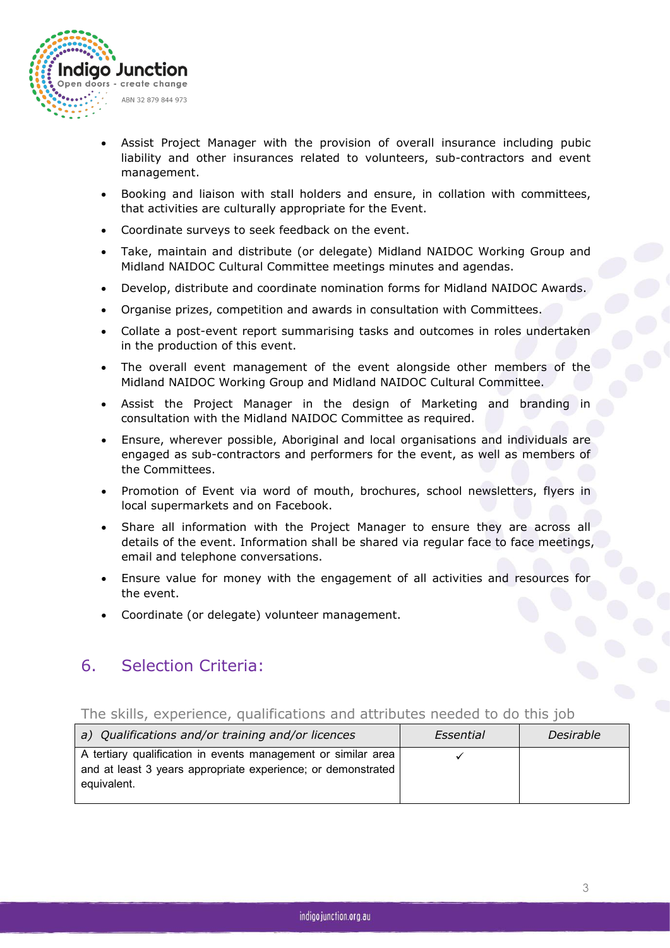

- Assist Project Manager with the provision of overall insurance including pubic liability and other insurances related to volunteers, sub-contractors and event management.
- Booking and liaison with stall holders and ensure, in collation with committees, that activities are culturally appropriate for the Event.
- Coordinate surveys to seek feedback on the event.
- Take, maintain and distribute (or delegate) Midland NAIDOC Working Group and Midland NAIDOC Cultural Committee meetings minutes and agendas.
- Develop, distribute and coordinate nomination forms for Midland NAIDOC Awards.
- Organise prizes, competition and awards in consultation with Committees.
- Collate a post-event report summarising tasks and outcomes in roles undertaken in the production of this event.
- The overall event management of the event alongside other members of the Midland NAIDOC Working Group and Midland NAIDOC Cultural Committee.
- Assist the Project Manager in the design of Marketing and branding in consultation with the Midland NAIDOC Committee as required.
- Ensure, wherever possible, Aboriginal and local organisations and individuals are engaged as sub-contractors and performers forthe event, as well as members of the Committees.
- Promotion of Event via word of mouth, brochures, school newsletters, flyers in local supermarkets and on Facebook.
- Share all information with the Project Manager to ensure they are across all details of the event. Information shall be shared via regular face to face meetings, email and telephone conversations.
- Ensure value for money with the engagement of all activities and resources for the event.
- Coordinate (or delegate) volunteer management.

### 6. Selection Criteria:

#### The skills, experience, qualifications and attributes needed to do this job

| A tertiary qualification in events management or similar area<br>and at least 3 years appropriate experience; or demonstrated<br>equivalent. | a) Qualifications and/or training and/or licences | Essential | Desirable |
|----------------------------------------------------------------------------------------------------------------------------------------------|---------------------------------------------------|-----------|-----------|
|                                                                                                                                              |                                                   |           |           |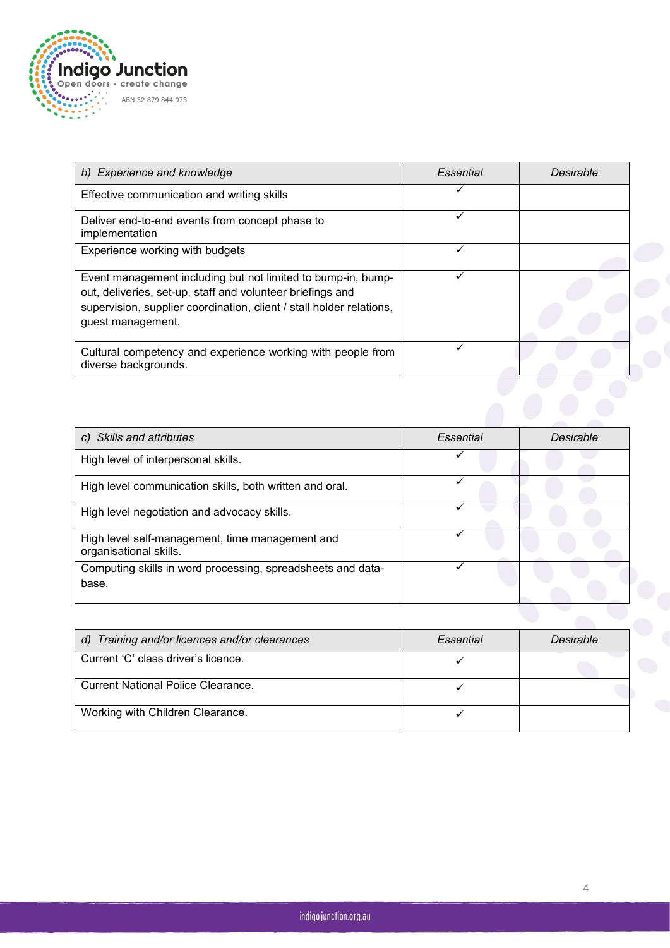

| b) Experience and knowledge                                                                                                                                                                                             | <b>Essential</b> | Desirable |
|-------------------------------------------------------------------------------------------------------------------------------------------------------------------------------------------------------------------------|------------------|-----------|
| Effective communication and writing skills                                                                                                                                                                              |                  |           |
| Deliver end-to-end events from concept phase to<br>implementation                                                                                                                                                       |                  |           |
| Experience working with budgets                                                                                                                                                                                         |                  |           |
| Event management including but not limited to bump-in, bump-<br>out, deliveries, set-up, staff and volunteer briefings and<br>supervision, supplier coordination, client / stall holder relations,<br>guest management. |                  |           |
| Cultural competency and experience working with people from<br>diverse backgrounds.                                                                                                                                     |                  |           |
|                                                                                                                                                                                                                         |                  |           |

| c) Skills and attributes                                                  | Essential | Desirable |
|---------------------------------------------------------------------------|-----------|-----------|
| High level of interpersonal skills.                                       |           |           |
| High level communication skills, both written and oral.                   |           |           |
| High level negotiation and advocacy skills.                               |           |           |
| High level self-management, time management and<br>organisational skills. |           |           |
| Computing skills in word processing, spreadsheets and data-<br>base.      |           |           |
|                                                                           |           |           |

| d) Training and/or licences and/or clearances | Essential | Desirable |  |
|-----------------------------------------------|-----------|-----------|--|
| Current 'C' class driver's licence.           |           |           |  |
| <b>Current National Police Clearance.</b>     |           |           |  |
| Working with Children Clearance.              |           |           |  |